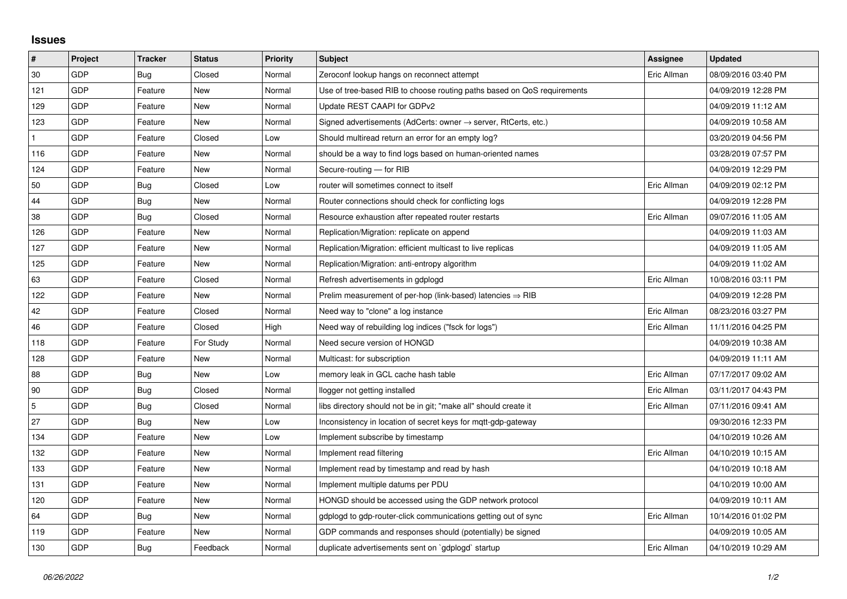## **Issues**

| #            | Project    | <b>Tracker</b> | <b>Status</b> | <b>Priority</b> | <b>Subject</b>                                                             | <b>Assignee</b> | <b>Updated</b>      |
|--------------|------------|----------------|---------------|-----------------|----------------------------------------------------------------------------|-----------------|---------------------|
| 30           | GDP        | Bug            | Closed        | Normal          | Zeroconf lookup hangs on reconnect attempt                                 | Eric Allman     | 08/09/2016 03:40 PM |
| 121          | GDP        | Feature        | New           | Normal          | Use of tree-based RIB to choose routing paths based on QoS requirements    |                 | 04/09/2019 12:28 PM |
| 129          | GDP        | Feature        | New           | Normal          | Update REST CAAPI for GDPv2                                                |                 | 04/09/2019 11:12 AM |
| 123          | GDP        | Feature        | <b>New</b>    | Normal          | Signed advertisements (AdCerts: owner $\rightarrow$ server, RtCerts, etc.) |                 | 04/09/2019 10:58 AM |
| $\mathbf{1}$ | GDP        | Feature        | Closed        | Low             | Should multiread return an error for an empty log?                         |                 | 03/20/2019 04:56 PM |
| 116          | GDP        | Feature        | New           | Normal          | should be a way to find logs based on human-oriented names                 |                 | 03/28/2019 07:57 PM |
| 124          | GDP        | Feature        | New           | Normal          | Secure-routing - for RIB                                                   |                 | 04/09/2019 12:29 PM |
| 50           | GDP        | <b>Bug</b>     | Closed        | Low             | router will sometimes connect to itself                                    | Eric Allman     | 04/09/2019 02:12 PM |
| 44           | <b>GDP</b> | Bug            | New           | Normal          | Router connections should check for conflicting logs                       |                 | 04/09/2019 12:28 PM |
| 38           | GDP        | Bug            | Closed        | Normal          | Resource exhaustion after repeated router restarts                         | Eric Allman     | 09/07/2016 11:05 AM |
| 126          | GDP        | Feature        | <b>New</b>    | Normal          | Replication/Migration: replicate on append                                 |                 | 04/09/2019 11:03 AM |
| 127          | GDP        | Feature        | New           | Normal          | Replication/Migration: efficient multicast to live replicas                |                 | 04/09/2019 11:05 AM |
| 125          | GDP        | Feature        | <b>New</b>    | Normal          | Replication/Migration: anti-entropy algorithm                              |                 | 04/09/2019 11:02 AM |
| 63           | GDP        | Feature        | Closed        | Normal          | Refresh advertisements in gdplogd                                          | Eric Allman     | 10/08/2016 03:11 PM |
| 122          | GDP        | Feature        | New           | Normal          | Prelim measurement of per-hop (link-based) latencies $\Rightarrow$ RIB     |                 | 04/09/2019 12:28 PM |
| 42           | GDP        | Feature        | Closed        | Normal          | Need way to "clone" a log instance                                         | Eric Allman     | 08/23/2016 03:27 PM |
| 46           | GDP        | Feature        | Closed        | High            | Need way of rebuilding log indices ("fsck for logs")                       | Eric Allman     | 11/11/2016 04:25 PM |
| 118          | GDP        | Feature        | For Study     | Normal          | Need secure version of HONGD                                               |                 | 04/09/2019 10:38 AM |
| 128          | GDP        | Feature        | New           | Normal          | Multicast: for subscription                                                |                 | 04/09/2019 11:11 AM |
| 88           | GDP        | Bug            | New           | Low             | memory leak in GCL cache hash table                                        | Eric Allman     | 07/17/2017 09:02 AM |
| 90           | GDP        | <b>Bug</b>     | Closed        | Normal          | llogger not getting installed                                              | Eric Allman     | 03/11/2017 04:43 PM |
| 5            | GDP        | <b>Bug</b>     | Closed        | Normal          | libs directory should not be in git; "make all" should create it           | Eric Allman     | 07/11/2016 09:41 AM |
| 27           | GDP        | Bug            | New           | Low             | Inconsistency in location of secret keys for mgtt-gdp-gateway              |                 | 09/30/2016 12:33 PM |
| 134          | GDP        | Feature        | New           | Low             | Implement subscribe by timestamp                                           |                 | 04/10/2019 10:26 AM |
| 132          | GDP        | Feature        | New           | Normal          | Implement read filtering                                                   | Eric Allman     | 04/10/2019 10:15 AM |
| 133          | GDP        | Feature        | New           | Normal          | Implement read by timestamp and read by hash                               |                 | 04/10/2019 10:18 AM |
| 131          | GDP        | Feature        | New           | Normal          | Implement multiple datums per PDU                                          |                 | 04/10/2019 10:00 AM |
| 120          | GDP        | Feature        | New           | Normal          | HONGD should be accessed using the GDP network protocol                    |                 | 04/09/2019 10:11 AM |
| 64           | GDP        | Bug            | New           | Normal          | gdplogd to gdp-router-click communications getting out of sync             | Eric Allman     | 10/14/2016 01:02 PM |
| 119          | GDP        | Feature        | New           | Normal          | GDP commands and responses should (potentially) be signed                  |                 | 04/09/2019 10:05 AM |
| 130          | GDP        | Bug            | Feedback      | Normal          | duplicate advertisements sent on `gdplogd` startup                         | Eric Allman     | 04/10/2019 10:29 AM |